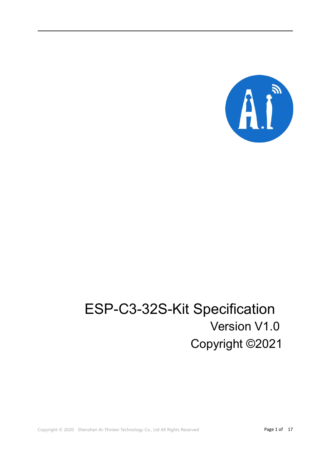

# ESP-C3-32S-Kit Specification Version V1.0 Copyright ©2021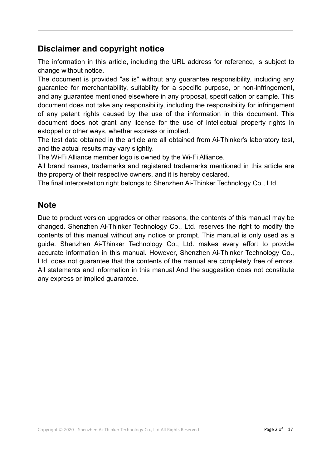## **Disclaimer and copyright notice**

The information in this article, including the URL address for reference, is subject to change without notice.

The document is provided "as is" without any guarantee responsibility, including any guarantee for merchantability, suitability for a specific purpose, or non-infringement, and any guarantee mentioned elsewhere in any proposal, specification or sample. This document does not take any responsibility, including the responsibility for infringement of any patent rights caused by the use of the information in this document. This document does not grant any license for the use of intellectual property rights in estoppel or other ways, whether express or implied.

The test data obtained in the article are all obtained from Ai-Thinker's laboratory test, and the actual results may vary slightly.

The Wi-Fi Alliance member logo is owned by the Wi-Fi Alliance.

All brand names, trademarks and registered trademarks mentioned in this article are the property of their respective owners, and it is hereby declared.

The final interpretation right belongs to Shenzhen Ai-Thinker Technology Co., Ltd.

#### **Note**

Due to product version upgrades or other reasons, the contents of this manual may be changed. Shenzhen Ai-Thinker Technology Co., Ltd. reserves the right to modify the contents of this manual without any notice or prompt. This manual is only used as a guide. Shenzhen Ai-Thinker Technology Co., Ltd. makes every effort to provide accurate information in this manual. However, Shenzhen Ai-Thinker Technology Co., Ltd. does not guarantee that the contents of the manual are completely free of errors. All statements and information in this manual And the suggestion does not constitute any express or implied guarantee.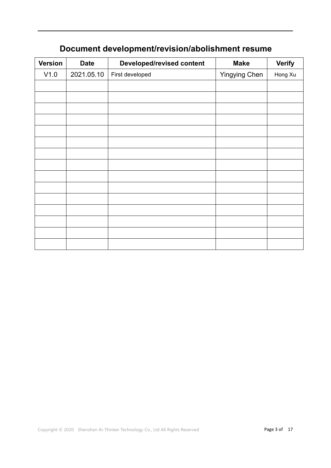| <b>Version</b> | <b>Date</b> | <b>Developed/revised content</b> | <b>Make</b>   | <b>Verify</b> |
|----------------|-------------|----------------------------------|---------------|---------------|
| V1.0           | 2021.05.10  | First developed                  | Yingying Chen | Hong Xu       |
|                |             |                                  |               |               |
|                |             |                                  |               |               |
|                |             |                                  |               |               |
|                |             |                                  |               |               |
|                |             |                                  |               |               |
|                |             |                                  |               |               |
|                |             |                                  |               |               |
|                |             |                                  |               |               |
|                |             |                                  |               |               |
|                |             |                                  |               |               |
|                |             |                                  |               |               |
|                |             |                                  |               |               |
|                |             |                                  |               |               |
|                |             |                                  |               |               |
|                |             |                                  |               |               |
|                |             |                                  |               |               |

# **Document development/revision/abolishment resume**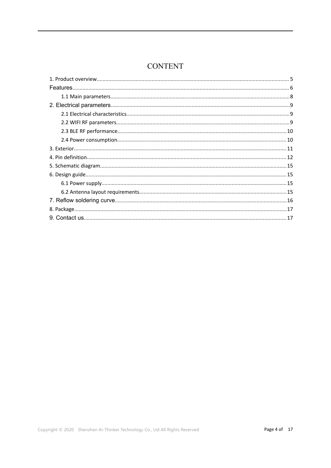## **CONTENT**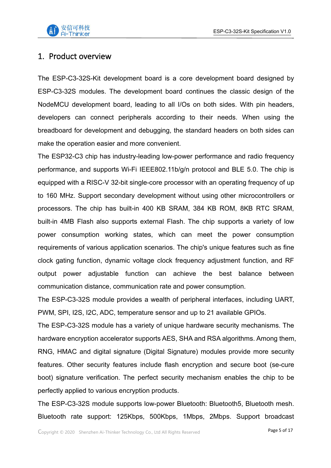

#### <span id="page-4-0"></span>1. Product overview

The ESP-C3-32S-Kit development board is a core development board designed by ESP-C3-32S modules. The development board continues the classic design of the NodeMCU development board, leading to all I/Os on both sides. With pin headers, developers can connect peripherals according to their needs. When using the breadboard for development and debugging, the standard headers on both sides can make the operation easier and more convenient.

The ESP32-C3 chip has industry-leading low-power performance and radio frequency performance, and supports Wi-Fi IEEE802.11b/g/n protocol and BLE 5.0. The chip is equipped with a RISC-V 32-bit single-core processor with an operating frequency of up to 160 MHz. Support secondary development without using other microcontrollers or processors. The chip has built-in 400 KB SRAM, 384 KB ROM, 8KB RTC SRAM, built-in 4MB Flash also supports external Flash. The chip supports a variety of low power consumption working states, which can meet the power consumption requirements of various application scenarios. The chip's unique features such as fine clock gating function, dynamic voltage clock frequency adjustment function, and RF output power adjustable function can achieve the best balance between communication distance, communication rate and power consumption.

The ESP-C3-32S module provides a wealth of peripheral interfaces, including UART, PWM, SPI, I2S, I2C, ADC, temperature sensor and up to 21 available GPIOs.

The ESP-C3-32S module has a variety of unique hardware security mechanisms. The hardware encryption accelerator supports AES, SHA and RSA algorithms. Among them, RNG, HMAC and digital signature (Digital Signature) modules provide more security features. Other security features include flash encryption and secure boot (se-cure boot) signature verification. The perfect security mechanism enables the chip to be perfectly applied to various encryption products.

The ESP-C3-32S module supports low-power Bluetooth: Bluetooth5, Bluetooth mesh. Bluetooth rate support: 125Kbps, 500Kbps, 1Mbps, 2Mbps. Support broadcast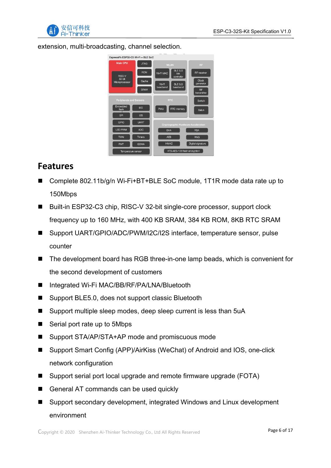

extension, multi-broadcasting, channel selection.



## <span id="page-5-0"></span>**Features**

- Complete 802.11b/g/n Wi-Fi+BT+BLE SoC module, 1T1R mode data rate up to 150Mbps
- Built-in ESP32-C3 chip, RISC-V 32-bit single-core processor, support clock frequency up to 160 MHz, with 400 KB SRAM, 384 KB ROM, 8KB RTC SRAM
- Support UART/GPIO/ADC/PWM/I2C/I2S interface, temperature sensor, pulse counter
- The development board has RGB three-in-one lamp beads, which is convenient for the second development of customers
- Integrated Wi-Fi MAC/BB/RF/PA/LNA/Bluetooth
- Support BLE5.0, does not support classic Bluetooth
- Support multiple sleep modes, deep sleep current is less than 5uA
- Serial port rate up to 5Mbps
- Support STA/AP/STA+AP mode and promiscuous mode
- Support Smart Config (APP)/AirKiss (WeChat) of Android and IOS, one-click network configuration
- Support serial port local upgrade and remote firmware upgrade (FOTA)
- General AT commands can be used quickly
- Support secondary development, integrated Windows and Linux development environment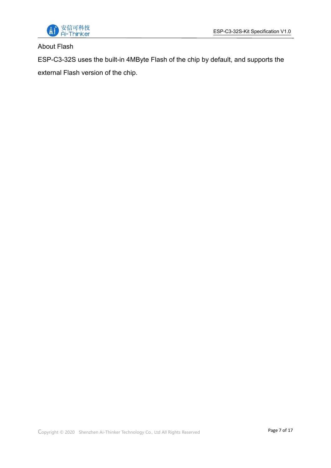

#### About Flash

ESP-C3-32S uses the built-in 4MByte Flash of the chip by default, and supports the external Flash version of the chip.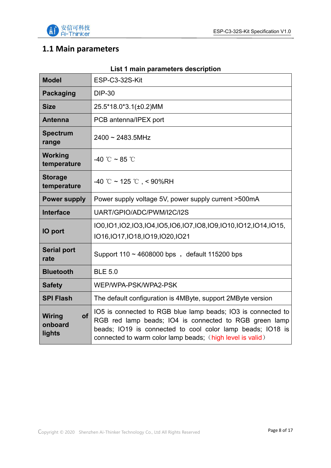

# <span id="page-7-0"></span>**1.1 Main parameters**

| <b>Model</b>                             | ESP-C3-32S-Kit                                                                                                                                                                                                                                    |  |  |  |
|------------------------------------------|---------------------------------------------------------------------------------------------------------------------------------------------------------------------------------------------------------------------------------------------------|--|--|--|
| <b>Packaging</b>                         | <b>DIP-30</b>                                                                                                                                                                                                                                     |  |  |  |
| <b>Size</b>                              | 25.5*18.0*3.1(±0.2)MM                                                                                                                                                                                                                             |  |  |  |
| <b>Antenna</b>                           | PCB antenna/IPEX port                                                                                                                                                                                                                             |  |  |  |
| <b>Spectrum</b><br>range                 | $2400 \sim 2483.5$ MHz                                                                                                                                                                                                                            |  |  |  |
| <b>Working</b><br>temperature            | -40 °C ~ 85 °C                                                                                                                                                                                                                                    |  |  |  |
| <b>Storage</b><br>temperature            | -40 °C ~ 125 °C , < 90%RH                                                                                                                                                                                                                         |  |  |  |
| <b>Power supply</b>                      | Power supply voltage 5V, power supply current >500mA                                                                                                                                                                                              |  |  |  |
| <b>Interface</b>                         | UART/GPIO/ADC/PWM/I2C/I2S                                                                                                                                                                                                                         |  |  |  |
| <b>IO</b> port                           | 100,101,102,103,104,105,106,107,108,109,1010,1012,1014,1015,<br>IO16, IO17, IO18, IO19, IO20, IO21                                                                                                                                                |  |  |  |
| <b>Serial port</b><br>rate               | Support $110 \sim 4608000$ bps, default 115200 bps                                                                                                                                                                                                |  |  |  |
| <b>Bluetooth</b>                         | <b>BLE 5.0</b>                                                                                                                                                                                                                                    |  |  |  |
| <b>Safety</b>                            | WEP/WPA-PSK/WPA2-PSK                                                                                                                                                                                                                              |  |  |  |
| <b>SPI Flash</b>                         | The default configuration is 4MByte, support 2MByte version                                                                                                                                                                                       |  |  |  |
| <b>of</b><br>Wiring<br>onboard<br>lights | IO5 is connected to RGB blue lamp beads; IO3 is connected to<br>RGB red lamp beads; IO4 is connected to RGB green lamp<br>beads; IO19 is connected to cool color lamp beads; IO18 is<br>connected to warm color lamp beads; (high level is valid) |  |  |  |

#### **List 1 main parameters description**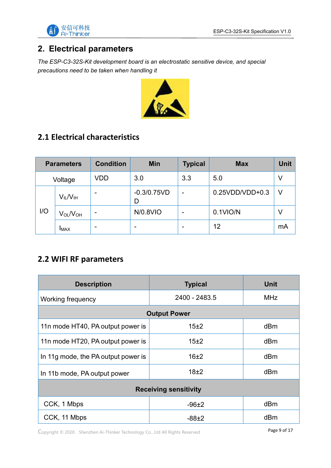

## <span id="page-8-0"></span>**2. Electrical parameters**

*The ESP-C3-32S-Kit development board is an electrostatic sensitive device, and special precautions need to be taken when handling it*



## <span id="page-8-1"></span>**2.1 Electrical characteristics**

| <b>Parameters</b> |                                  | <b>Condition</b>         | <b>Min</b>               | <b>Typical</b>           | <b>Max</b>        | <b>Unit</b> |
|-------------------|----------------------------------|--------------------------|--------------------------|--------------------------|-------------------|-------------|
| Voltage           |                                  | <b>VDD</b>               | 3.0                      | 3.3                      | 5.0               | ٧           |
| I/O               | $V_{IL}/V_{IH}$                  | $\overline{\phantom{0}}$ | $-0.3/0.75VD$<br>D       | $\overline{\phantom{a}}$ | $0.25VDD/VDD+0.3$ | $\vee$      |
|                   | V <sub>OL</sub> /V <sub>OH</sub> | $\overline{\phantom{0}}$ | N/0.8VIO                 | $\overline{\phantom{0}}$ | 0.1VIO/N          | V           |
|                   | <b>IMAX</b>                      | $\overline{\phantom{0}}$ | $\overline{\phantom{0}}$ | $\overline{\phantom{0}}$ | 12                | mA          |

#### <span id="page-8-2"></span>**2.2 WIFI RF parameters**

| <b>Description</b>                  | <b>Typical</b>      | <b>Unit</b> |  |  |  |  |
|-------------------------------------|---------------------|-------------|--|--|--|--|
| Working frequency                   | 2400 - 2483.5       | <b>MHz</b>  |  |  |  |  |
|                                     | <b>Output Power</b> |             |  |  |  |  |
| 11n mode HT40, PA output power is   | 15±2                | dBm         |  |  |  |  |
| 11n mode HT20, PA output power is   | 15±2                | dBm         |  |  |  |  |
| In 11g mode, the PA output power is | 16±2                | dBm         |  |  |  |  |
| In 11b mode, PA output power        | 18±2                | dBm         |  |  |  |  |
| <b>Receiving sensitivity</b>        |                     |             |  |  |  |  |
| CCK, 1 Mbps                         | $-96+2$             | dBm         |  |  |  |  |
| CCK, 11 Mbps                        | $-88±2$             | dBm         |  |  |  |  |

Copyright © <sup>2020</sup> Shenzhen Ai-Thinker Technology Co., Ltd All Rights Reserved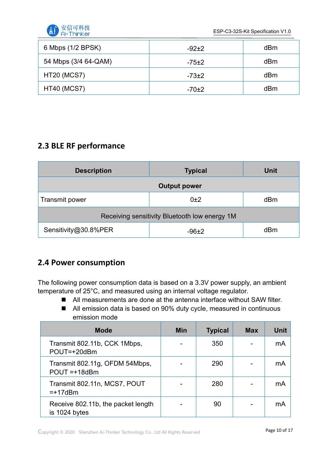

ESP-C3-32S-Kit Specification V1.0

| 6 Mbps (1/2 BPSK)    | $-92+2$ | dB <sub>m</sub> |
|----------------------|---------|-----------------|
| 54 Mbps (3/4 64-QAM) | $-75±2$ | dB <sub>m</sub> |
| <b>HT20 (MCS7)</b>   | $-73±2$ | dB <sub>m</sub> |
| <b>HT40 (MCS7)</b>   | $-70±2$ | dBm             |

## <span id="page-9-0"></span>**2.3 BLE RF performance**

| <b>Description</b>                            | <b>Typical</b> | <b>Unit</b> |  |  |  |  |  |
|-----------------------------------------------|----------------|-------------|--|--|--|--|--|
| <b>Output power</b>                           |                |             |  |  |  |  |  |
| Transmit power                                | 0±2            | dBm         |  |  |  |  |  |
| Receiving sensitivity Bluetooth low energy 1M |                |             |  |  |  |  |  |
| Sensitivity@30.8%PER                          | $-96+2$        | dBm         |  |  |  |  |  |

## <span id="page-9-1"></span>**2.4 Power consumption**

The following power consumption data is based on a 3.3V power supply, an ambient temperature of 25°C, and measured using an internal voltage regulator.

- All measurements are done at the antenna interface without SAW filter.
- All emission data is based on 90% duty cycle, measured in continuous emission mode

| <b>Mode</b>                                         | <b>Min</b> | <b>Typical</b> | <b>Max</b> | <b>Unit</b> |
|-----------------------------------------------------|------------|----------------|------------|-------------|
| Transmit 802.11b, CCK 1Mbps,<br>POUT=+20dBm         |            | 350            |            | mA          |
| Transmit 802.11g, OFDM 54Mbps,<br>$POUT = +18dBm$   |            | 290            |            | mA          |
| Transmit 802.11n, MCS7, POUT<br>$=+17$ dBm          |            | 280            |            | mA          |
| Receive 802.11b, the packet length<br>is 1024 bytes |            | 90             |            | mA          |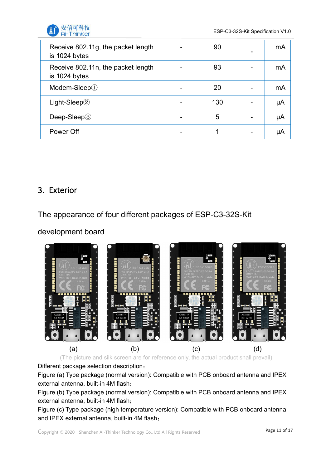

| Receive 802.11g, the packet length<br>is 1024 bytes |                          | 90  | mA |  |
|-----------------------------------------------------|--------------------------|-----|----|--|
| Receive 802.11n, the packet length<br>is 1024 bytes |                          | 93  | mA |  |
| Modem-Sleep $\textcircled{\scriptsize{1}}$          |                          | 20  | mA |  |
| Light-Sleep $@$                                     | -                        | 130 | μA |  |
| Deep-Sleep <sup>3</sup>                             | $\overline{\phantom{0}}$ | 5   | μA |  |
| Power Off                                           |                          |     | μA |  |

#### <span id="page-10-0"></span>3. Exterior

The appearance of four different packages of ESP-C3-32S-Kit

development board



(The picture and silk screen are for reference only, the actual product shall prevail)

Different package selection description:

Figure (a) Type package (normal version): Compatible with PCB onboard antenna and IPEX external antenna, built-in 4M flash;

Figure (b) Type package (normal version): Compatible with PCB onboard antenna and IPEX external antenna, built-in 4M flash;

Figure (c) Type package (high temperature version): Compatible with PCB onboard antenna and IPEX external antenna, built-in 4M flash;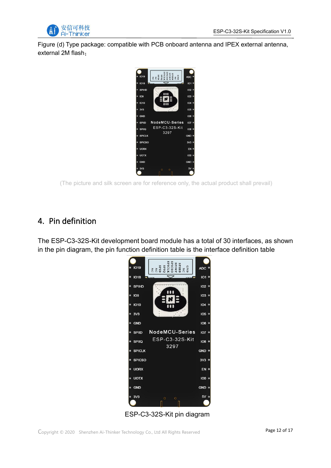

Figure (d) Type package: compatible with PCB onboard antenna and IPEX external antenna, external 2M flash;



(The picture and silk screen are for reference only, the actual product shall prevail)

#### <span id="page-11-0"></span>4. Pin definition

The ESP-C3-32S-Kit development board module has a total of 30 interfaces, as shown in the pin diagram, the pin function definition table is the interface definition table



ESP-C3-32S-Kit pin diagram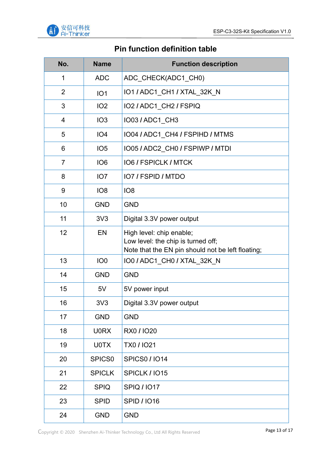

## **Pin function definition table**

| No.            | <b>Name</b>        | <b>Function description</b>                                                                                         |
|----------------|--------------------|---------------------------------------------------------------------------------------------------------------------|
| 1              | <b>ADC</b>         | ADC_CHECK(ADC1_CH0)                                                                                                 |
| $\overline{2}$ | IO <sub>1</sub>    | IO1 / ADC1_CH1 / XTAL_32K_N                                                                                         |
| 3              | IO <sub>2</sub>    | IO2 / ADC1_CH2 / FSPIQ                                                                                              |
| 4              | IO <sub>3</sub>    | IO03 / ADC1_CH3                                                                                                     |
| 5              | IO <sub>4</sub>    | IO04 / ADC1 CH4 / FSPIHD / MTMS                                                                                     |
| 6              | IO <sub>5</sub>    | IO05 / ADC2_CH0 / FSPIWP / MTDI                                                                                     |
| $\overline{7}$ | IO <sub>6</sub>    | <b>IO6 / FSPICLK / MTCK</b>                                                                                         |
| 8              | IO <sub>7</sub>    | <b>IO7 / FSPID / MTDO</b>                                                                                           |
| 9              | IO <sub>8</sub>    | IO <sub>8</sub>                                                                                                     |
| 10             | <b>GND</b>         | <b>GND</b>                                                                                                          |
| 11             | 3V <sub>3</sub>    | Digital 3.3V power output                                                                                           |
| 12             | EN                 | High level: chip enable;<br>Low level: the chip is turned off;<br>Note that the EN pin should not be left floating; |
| 13             | IO <sub>0</sub>    | IO0 / ADC1_CH0 / XTAL_32K_N                                                                                         |
| 14             | <b>GND</b>         | <b>GND</b>                                                                                                          |
| 15             | 5V                 | 5V power input                                                                                                      |
| 16             | 3V <sub>3</sub>    | Digital 3.3V power output                                                                                           |
| 17             | <b>GND</b>         | <b>GND</b>                                                                                                          |
| 18             | <b>U0RX</b>        | RX0 / IO20                                                                                                          |
| 19             | <b>U0TX</b>        | <b>TX0 / IO21</b>                                                                                                   |
| 20             | SPICS <sub>0</sub> | <b>SPICS0/IO14</b>                                                                                                  |
| 21             | <b>SPICLK</b>      | <b>SPICLK / 1015</b>                                                                                                |
| 22             | <b>SPIQ</b>        | <b>SPIQ / IO17</b>                                                                                                  |
| 23             | <b>SPID</b>        | <b>SPID / IO16</b>                                                                                                  |
| 24             | <b>GND</b>         | <b>GND</b>                                                                                                          |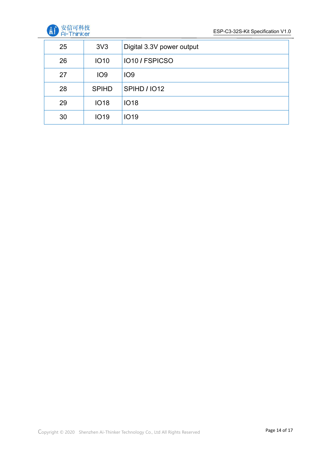

| 25 | 3V <sub>3</sub> | Digital 3.3V power output  |
|----|-----------------|----------------------------|
| 26 | <b>IO10</b>     | IO <sub>10</sub> / FSPICSO |
| 27 | IO <sub>9</sub> | IO <sub>9</sub>            |
| 28 | <b>SPIHD</b>    | <b>SPIHD / 1012</b>        |
| 29 | <b>IO18</b>     | <b>IO18</b>                |
| 30 | <b>IO19</b>     | <b>IO19</b>                |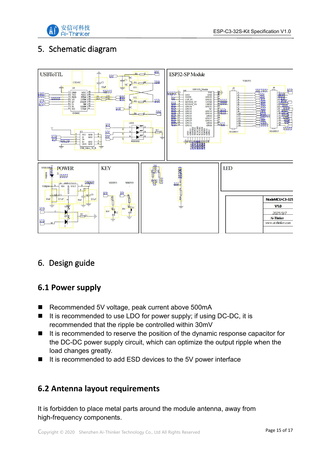

## <span id="page-14-0"></span>5. Schematic diagram



## <span id="page-14-1"></span>6. Design guide

#### <span id="page-14-2"></span>**6.1 Power supply**

- Recommended 5V voltage, peak current above 500mA
- $\blacksquare$  It is recommended to use LDO for power supply; if using DC-DC, it is recommended that the ripple be controlled within 30mV
- $\blacksquare$  It is recommended to reserve the position of the dynamic response capacitor for the DC-DC power supply circuit, which can optimize the output ripple when the load changes greatly.
- It is recommended to add ESD devices to the 5V power interface

#### <span id="page-14-3"></span>**6.2 Antenna layout requirements**

It is forbidden to place metal parts around the module antenna, away from high-frequency components.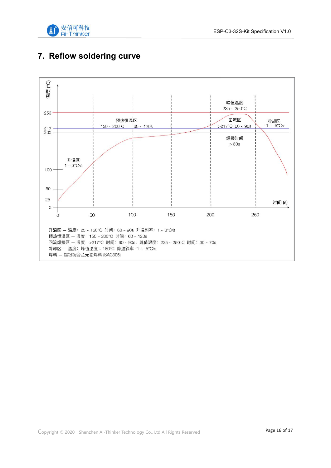

## <span id="page-15-0"></span>**7. Reflow soldering curve**